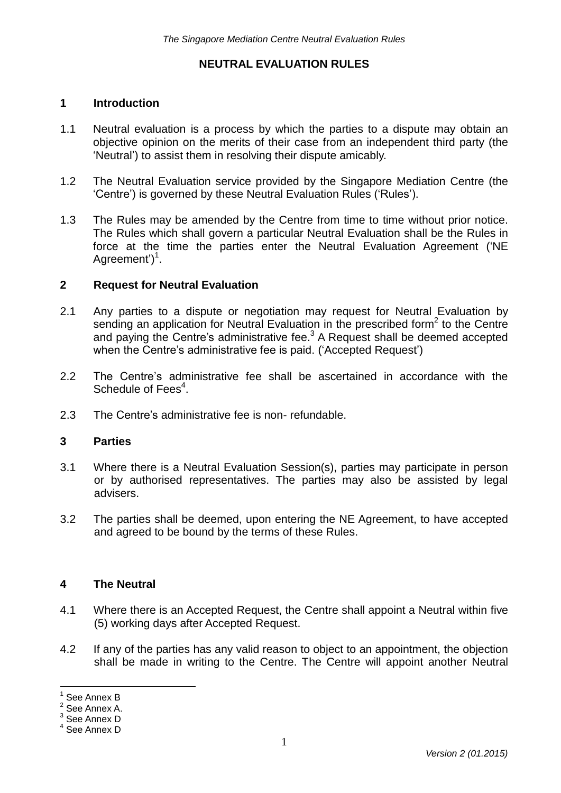# **NEUTRAL EVALUATION RULES**

## **1 Introduction**

- 1.1 Neutral evaluation is a process by which the parties to a dispute may obtain an objective opinion on the merits of their case from an independent third party (the 'Neutral') to assist them in resolving their dispute amicably.
- 1.2 The Neutral Evaluation service provided by the Singapore Mediation Centre (the 'Centre') is governed by these Neutral Evaluation Rules ('Rules').
- 1.3 The Rules may be amended by the Centre from time to time without prior notice. The Rules which shall govern a particular Neutral Evaluation shall be the Rules in force at the time the parties enter the Neutral Evaluation Agreement ('NE Agreement')<sup>1</sup>.

## **2 Request for Neutral Evaluation**

- 2.1 Any parties to a dispute or negotiation may request for Neutral Evaluation by sending an application for Neutral Evaluation in the prescribed form<sup>2</sup> to the Centre and paying the Centre's administrative fee. $3$  A Request shall be deemed accepted when the Centre's administrative fee is paid. ('Accepted Request')
- 2.2 The Centre's administrative fee shall be ascertained in accordance with the Schedule of Fees<sup>4</sup>.
- 2.3 The Centre's administrative fee is non- refundable.

### **3 Parties**

- 3.1 Where there is a Neutral Evaluation Session(s), parties may participate in person or by authorised representatives. The parties may also be assisted by legal advisers.
- 3.2 The parties shall be deemed, upon entering the NE Agreement, to have accepted and agreed to be bound by the terms of these Rules.

## **4 The Neutral**

- 4.1 Where there is an Accepted Request, the Centre shall appoint a Neutral within five (5) working days after Accepted Request.
- 4.2 If any of the parties has any valid reason to object to an appointment, the objection shall be made in writing to the Centre. The Centre will appoint another Neutral

 $\overline{a}$ 

<sup>&</sup>lt;sup>1</sup> See Annex B

 $2^2$  See Annex A.

 $^3$  See Annex D

<sup>4</sup> See Annex D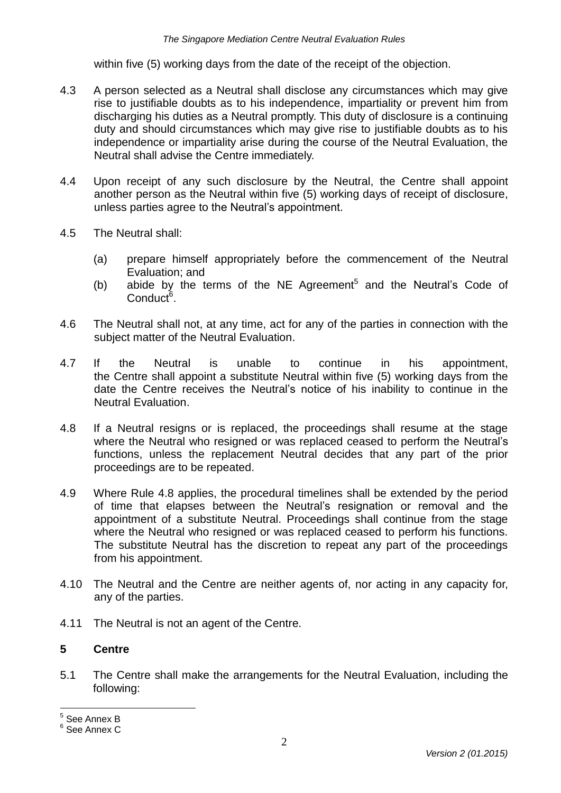within five (5) working days from the date of the receipt of the objection.

- 4.3 A person selected as a Neutral shall disclose any circumstances which may give rise to justifiable doubts as to his independence, impartiality or prevent him from discharging his duties as a Neutral promptly. This duty of disclosure is a continuing duty and should circumstances which may give rise to justifiable doubts as to his independence or impartiality arise during the course of the Neutral Evaluation, the Neutral shall advise the Centre immediately.
- 4.4 Upon receipt of any such disclosure by the Neutral, the Centre shall appoint another person as the Neutral within five (5) working days of receipt of disclosure, unless parties agree to the Neutral's appointment.
- 4.5 The Neutral shall:
	- (a) prepare himself appropriately before the commencement of the Neutral Evaluation; and
	- (b) abide by the terms of the NE Agreement<sup>5</sup> and the Neutral's Code of Conduct<sup>6</sup>.
- 4.6 The Neutral shall not, at any time, act for any of the parties in connection with the subject matter of the Neutral Evaluation.
- 4.7 If the Neutral is unable to continue in his appointment, the Centre shall appoint a substitute Neutral within five (5) working days from the date the Centre receives the Neutral's notice of his inability to continue in the Neutral Evaluation.
- 4.8 If a Neutral resigns or is replaced, the proceedings shall resume at the stage where the Neutral who resigned or was replaced ceased to perform the Neutral's functions, unless the replacement Neutral decides that any part of the prior proceedings are to be repeated.
- 4.9 Where Rule 4.8 applies, the procedural timelines shall be extended by the period of time that elapses between the Neutral's resignation or removal and the appointment of a substitute Neutral. Proceedings shall continue from the stage where the Neutral who resigned or was replaced ceased to perform his functions. The substitute Neutral has the discretion to repeat any part of the proceedings from his appointment.
- 4.10 The Neutral and the Centre are neither agents of, nor acting in any capacity for, any of the parties.
- 4.11 The Neutral is not an agent of the Centre.

## **5 Centre**

5.1 The Centre shall make the arrangements for the Neutral Evaluation, including the following:

<sup>&</sup>lt;u>.</u><br><sup>5</sup> See Annex B

 $^6$  See Annex C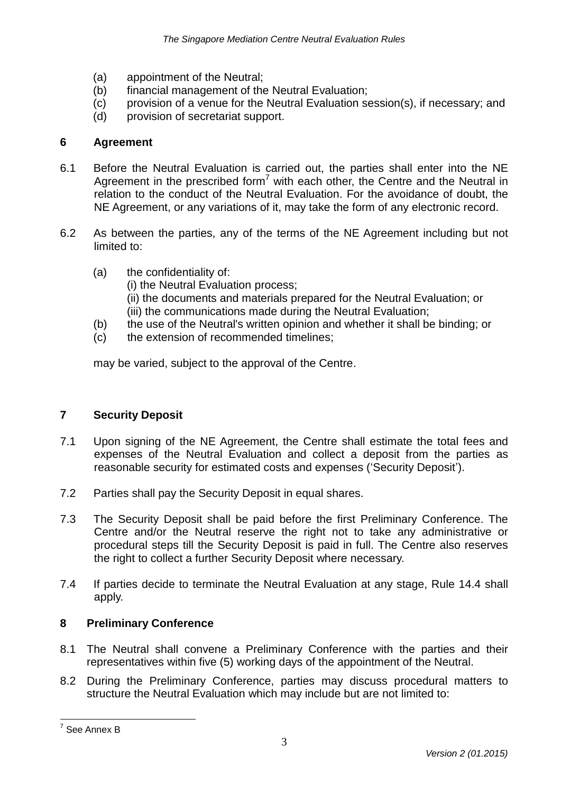- (a) appointment of the Neutral;
- (b) financial management of the Neutral Evaluation;
- (c) provision of a venue for the Neutral Evaluation session(s), if necessary; and
- (d) provision of secretariat support.

# **6 Agreement**

- 6.1 Before the Neutral Evaluation is carried out, the parties shall enter into the NE Agreement in the prescribed form<sup>7</sup> with each other, the Centre and the Neutral in relation to the conduct of the Neutral Evaluation. For the avoidance of doubt, the NE Agreement, or any variations of it, may take the form of any electronic record.
- 6.2 As between the parties, any of the terms of the NE Agreement including but not limited to:
	- (a) the confidentiality of:
		- (i) the Neutral Evaluation process;
		- (ii) the documents and materials prepared for the Neutral Evaluation; or (iii) the communications made during the Neutral Evaluation;
		- (b) the use of the Neutral's written opinion and whether it shall be binding; or
		- (c) the extension of recommended timelines;

may be varied, subject to the approval of the Centre.

# **7 Security Deposit**

- 7.1 Upon signing of the NE Agreement, the Centre shall estimate the total fees and expenses of the Neutral Evaluation and collect a deposit from the parties as reasonable security for estimated costs and expenses ('Security Deposit').
- 7.2 Parties shall pay the Security Deposit in equal shares.
- 7.3 The Security Deposit shall be paid before the first Preliminary Conference. The Centre and/or the Neutral reserve the right not to take any administrative or procedural steps till the Security Deposit is paid in full. The Centre also reserves the right to collect a further Security Deposit where necessary.
- 7.4 If parties decide to terminate the Neutral Evaluation at any stage, Rule 14.4 shall apply.

# **8 Preliminary Conference**

- 8.1 The Neutral shall convene a Preliminary Conference with the parties and their representatives within five (5) working days of the appointment of the Neutral.
- 8.2 During the Preliminary Conference, parties may discuss procedural matters to structure the Neutral Evaluation which may include but are not limited to:

 7 See Annex B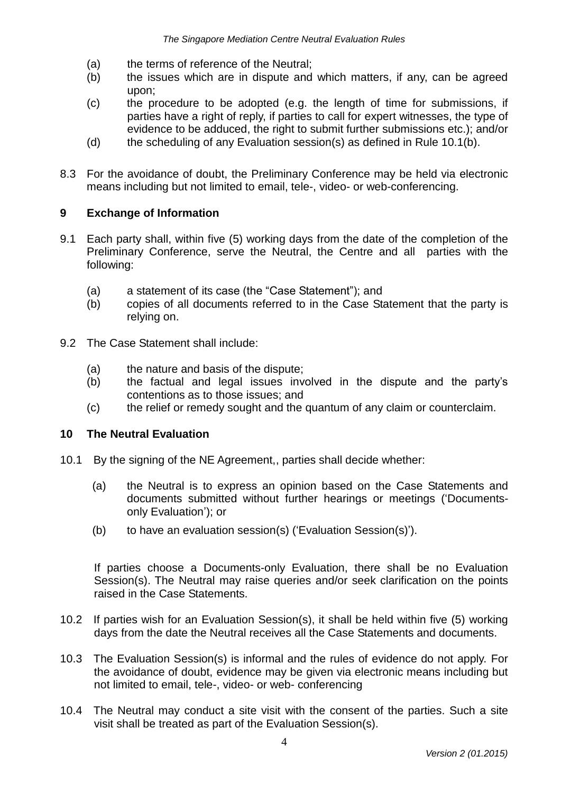- (a) the terms of reference of the Neutral;
- (b) the issues which are in dispute and which matters, if any, can be agreed upon;
- (c) the procedure to be adopted (e.g. the length of time for submissions, if parties have a right of reply, if parties to call for expert witnesses, the type of evidence to be adduced, the right to submit further submissions etc.); and/or
- (d) the scheduling of any Evaluation session(s) as defined in Rule 10.1(b).
- 8.3 For the avoidance of doubt, the Preliminary Conference may be held via electronic means including but not limited to email, tele-, video- or web-conferencing.

## **9 Exchange of Information**

- 9.1 Each party shall, within five (5) working days from the date of the completion of the Preliminary Conference, serve the Neutral, the Centre and all parties with the following:
	- (a) a statement of its case (the "Case Statement"); and
	- (b) copies of all documents referred to in the Case Statement that the party is relying on.
- 9.2 The Case Statement shall include:
	- (a) the nature and basis of the dispute;
	- (b) the factual and legal issues involved in the dispute and the party's contentions as to those issues; and
	- (c) the relief or remedy sought and the quantum of any claim or counterclaim.

### **10 The Neutral Evaluation**

- 10.1 By the signing of the NE Agreement,, parties shall decide whether:
	- (a) the Neutral is to express an opinion based on the Case Statements and documents submitted without further hearings or meetings ('Documentsonly Evaluation'); or
	- (b) to have an evaluation session(s) ('Evaluation Session(s)').

If parties choose a Documents-only Evaluation, there shall be no Evaluation Session(s). The Neutral may raise queries and/or seek clarification on the points raised in the Case Statements.

- 10.2 If parties wish for an Evaluation Session(s), it shall be held within five (5) working days from the date the Neutral receives all the Case Statements and documents.
- 10.3 The Evaluation Session(s) is informal and the rules of evidence do not apply. For the avoidance of doubt, evidence may be given via electronic means including but not limited to email, tele-, video- or web- conferencing
- 10.4 The Neutral may conduct a site visit with the consent of the parties. Such a site visit shall be treated as part of the Evaluation Session(s).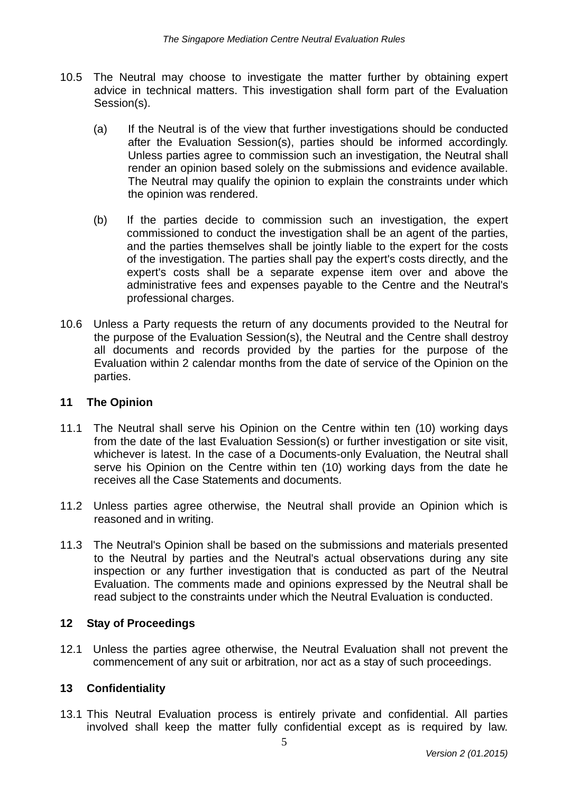- 10.5 The Neutral may choose to investigate the matter further by obtaining expert advice in technical matters. This investigation shall form part of the Evaluation Session(s).
	- (a) If the Neutral is of the view that further investigations should be conducted after the Evaluation Session(s), parties should be informed accordingly. Unless parties agree to commission such an investigation, the Neutral shall render an opinion based solely on the submissions and evidence available. The Neutral may qualify the opinion to explain the constraints under which the opinion was rendered.
	- (b) If the parties decide to commission such an investigation, the expert commissioned to conduct the investigation shall be an agent of the parties, and the parties themselves shall be jointly liable to the expert for the costs of the investigation. The parties shall pay the expert's costs directly, and the expert's costs shall be a separate expense item over and above the administrative fees and expenses payable to the Centre and the Neutral's professional charges.
- 10.6 Unless a Party requests the return of any documents provided to the Neutral for the purpose of the Evaluation Session(s), the Neutral and the Centre shall destroy all documents and records provided by the parties for the purpose of the Evaluation within 2 calendar months from the date of service of the Opinion on the parties.

## **11 The Opinion**

- 11.1 The Neutral shall serve his Opinion on the Centre within ten (10) working days from the date of the last Evaluation Session(s) or further investigation or site visit, whichever is latest. In the case of a Documents-only Evaluation, the Neutral shall serve his Opinion on the Centre within ten (10) working days from the date he receives all the Case Statements and documents.
- 11.2 Unless parties agree otherwise, the Neutral shall provide an Opinion which is reasoned and in writing.
- 11.3 The Neutral's Opinion shall be based on the submissions and materials presented to the Neutral by parties and the Neutral's actual observations during any site inspection or any further investigation that is conducted as part of the Neutral Evaluation. The comments made and opinions expressed by the Neutral shall be read subject to the constraints under which the Neutral Evaluation is conducted.

# **12 Stay of Proceedings**

12.1 Unless the parties agree otherwise, the Neutral Evaluation shall not prevent the commencement of any suit or arbitration, nor act as a stay of such proceedings.

# **13 Confidentiality**

13.1 This Neutral Evaluation process is entirely private and confidential. All parties involved shall keep the matter fully confidential except as is required by law.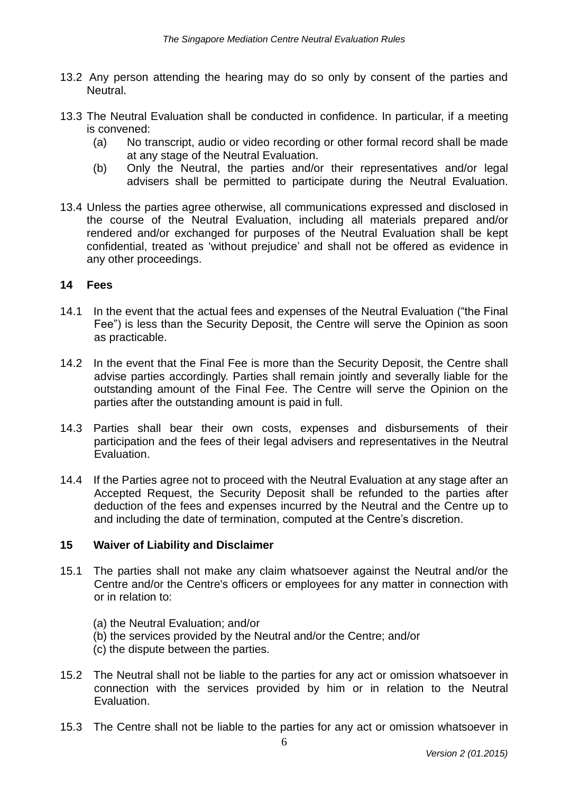- 13.2 Any person attending the hearing may do so only by consent of the parties and Neutral.
- 13.3 The Neutral Evaluation shall be conducted in confidence. In particular, if a meeting is convened:
	- (a) No transcript, audio or video recording or other formal record shall be made at any stage of the Neutral Evaluation.
	- (b) Only the Neutral, the parties and/or their representatives and/or legal advisers shall be permitted to participate during the Neutral Evaluation.
- 13.4 Unless the parties agree otherwise, all communications expressed and disclosed in the course of the Neutral Evaluation, including all materials prepared and/or rendered and/or exchanged for purposes of the Neutral Evaluation shall be kept confidential, treated as 'without prejudice' and shall not be offered as evidence in any other proceedings.

## **14 Fees**

- 14.1 In the event that the actual fees and expenses of the Neutral Evaluation ("the Final Fee") is less than the Security Deposit, the Centre will serve the Opinion as soon as practicable.
- 14.2 In the event that the Final Fee is more than the Security Deposit, the Centre shall advise parties accordingly. Parties shall remain jointly and severally liable for the outstanding amount of the Final Fee. The Centre will serve the Opinion on the parties after the outstanding amount is paid in full.
- 14.3 Parties shall bear their own costs, expenses and disbursements of their participation and the fees of their legal advisers and representatives in the Neutral Evaluation.
- 14.4 If the Parties agree not to proceed with the Neutral Evaluation at any stage after an Accepted Request, the Security Deposit shall be refunded to the parties after deduction of the fees and expenses incurred by the Neutral and the Centre up to and including the date of termination, computed at the Centre's discretion.

## **15 Waiver of Liability and Disclaimer**

- 15.1 The parties shall not make any claim whatsoever against the Neutral and/or the Centre and/or the Centre's officers or employees for any matter in connection with or in relation to:
	- (a) the Neutral Evaluation; and/or
	- (b) the services provided by the Neutral and/or the Centre; and/or
	- (c) the dispute between the parties.
- 15.2 The Neutral shall not be liable to the parties for any act or omission whatsoever in connection with the services provided by him or in relation to the Neutral Evaluation.
- 15.3 The Centre shall not be liable to the parties for any act or omission whatsoever in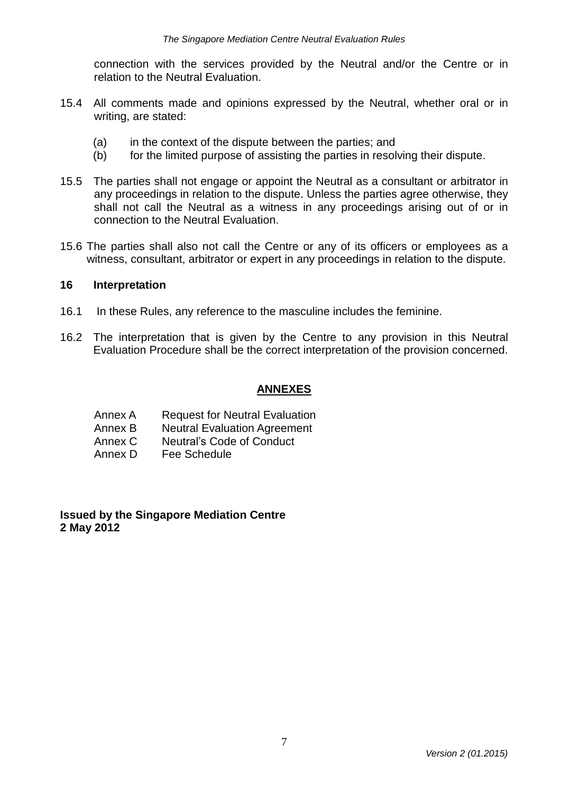connection with the services provided by the Neutral and/or the Centre or in relation to the Neutral Evaluation.

- 15.4 All comments made and opinions expressed by the Neutral, whether oral or in writing, are stated:
	- (a) in the context of the dispute between the parties; and
	- (b) for the limited purpose of assisting the parties in resolving their dispute.
- 15.5 The parties shall not engage or appoint the Neutral as a consultant or arbitrator in any proceedings in relation to the dispute. Unless the parties agree otherwise, they shall not call the Neutral as a witness in any proceedings arising out of or in connection to the Neutral Evaluation.
- 15.6 The parties shall also not call the Centre or any of its officers or employees as a witness, consultant, arbitrator or expert in any proceedings in relation to the dispute.

## **16 Interpretation**

- 16.1 In these Rules, any reference to the masculine includes the feminine.
- 16.2 The interpretation that is given by the Centre to any provision in this Neutral Evaluation Procedure shall be the correct interpretation of the provision concerned.

## **ANNEXES**

- Annex A Request for Neutral Evaluation
- Annex B Neutral Evaluation Agreement
- Annex C Neutral's Code of Conduct
- Annex D Fee Schedule

**Issued by the Singapore Mediation Centre 2 May 2012**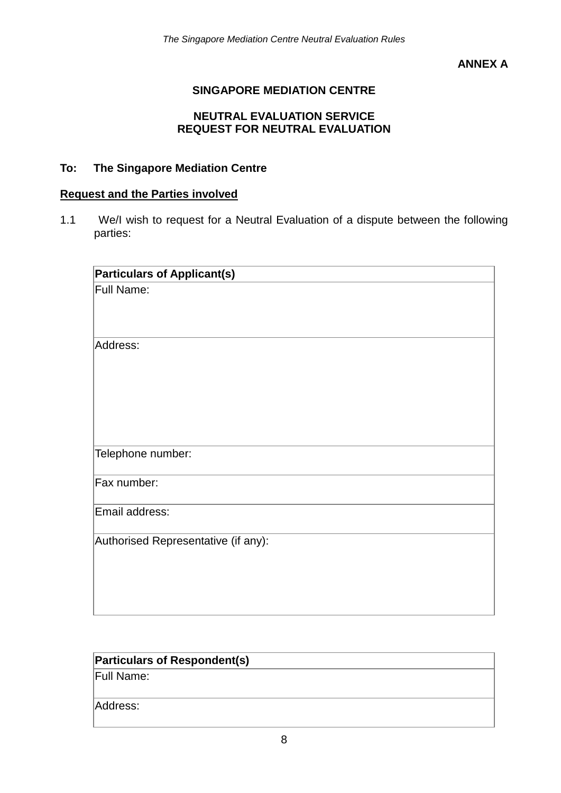**ANNEX A**

# **SINGAPORE MEDIATION CENTRE**

# **NEUTRAL EVALUATION SERVICE REQUEST FOR NEUTRAL EVALUATION**

# **To: The Singapore Mediation Centre**

# **Request and the Parties involved**

1.1 We/I wish to request for a Neutral Evaluation of a dispute between the following parties:

| <b>Particulars of Applicant(s)</b>  |
|-------------------------------------|
| Full Name:                          |
| Address:                            |
| Telephone number:                   |
| Fax number:                         |
| Email address:                      |
| Authorised Representative (if any): |

| <b>Particulars of Respondent(s)</b> |  |
|-------------------------------------|--|
| Full Name:                          |  |
|                                     |  |
| Address:                            |  |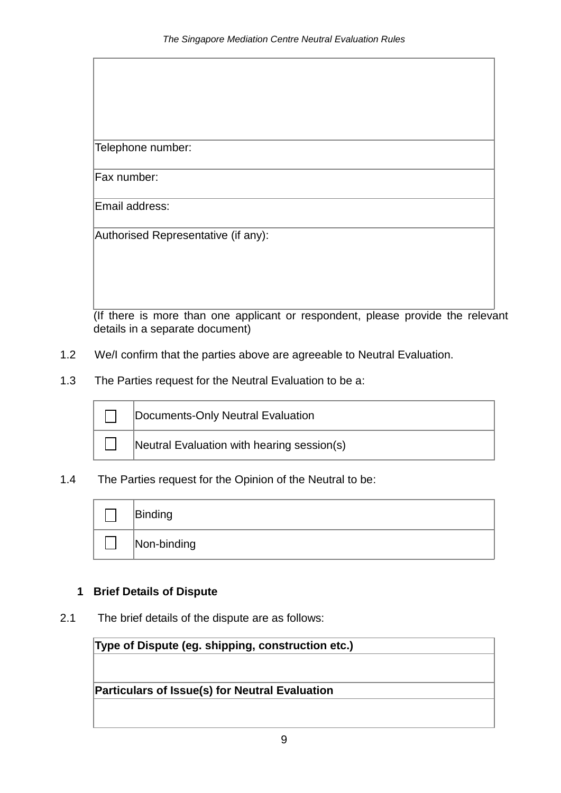Telephone number:

Fax number:

Email address:

Authorised Representative (if any):

(If there is more than one applicant or respondent, please provide the relevant details in a separate document)

- 1.2 We/I confirm that the parties above are agreeable to Neutral Evaluation.
- 1.3 The Parties request for the Neutral Evaluation to be a:

| Documents-Only Neutral Evaluation          |
|--------------------------------------------|
| Neutral Evaluation with hearing session(s) |

1.4 The Parties request for the Opinion of the Neutral to be:

| Binding     |
|-------------|
| Non-binding |

# **1 Brief Details of Dispute**

2.1 The brief details of the dispute are as follows:

| Type of Dispute (eg. shipping, construction etc.)     |  |  |
|-------------------------------------------------------|--|--|
| <b>Particulars of Issue(s) for Neutral Evaluation</b> |  |  |
|                                                       |  |  |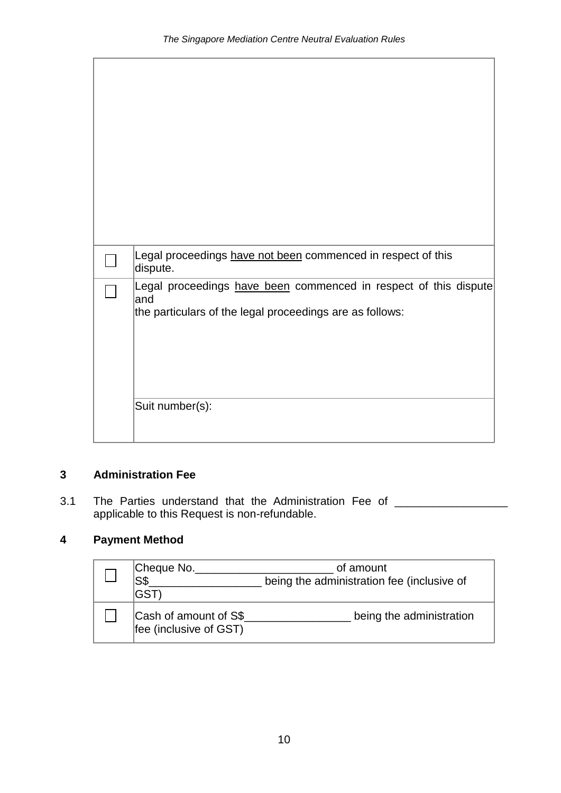| Legal proceedings have not been commenced in respect of this<br>dispute.                                                            |
|-------------------------------------------------------------------------------------------------------------------------------------|
| Legal proceedings have been commenced in respect of this dispute<br>and<br>the particulars of the legal proceedings are as follows: |
| Suit number(s):                                                                                                                     |

## **3 Administration Fee**

3.1 The Parties understand that the Administration Fee of \_\_\_\_\_\_\_\_\_\_\_\_\_\_\_\_\_\_\_\_\_\_ applicable to this Request is non-refundable.

# **4 Payment Method**

| Cheque No.<br>S\$<br><b>GST</b>                 | of amount<br>being the administration fee (inclusive of |
|-------------------------------------------------|---------------------------------------------------------|
| Cash of amount of S\$<br>fee (inclusive of GST) | being the administration                                |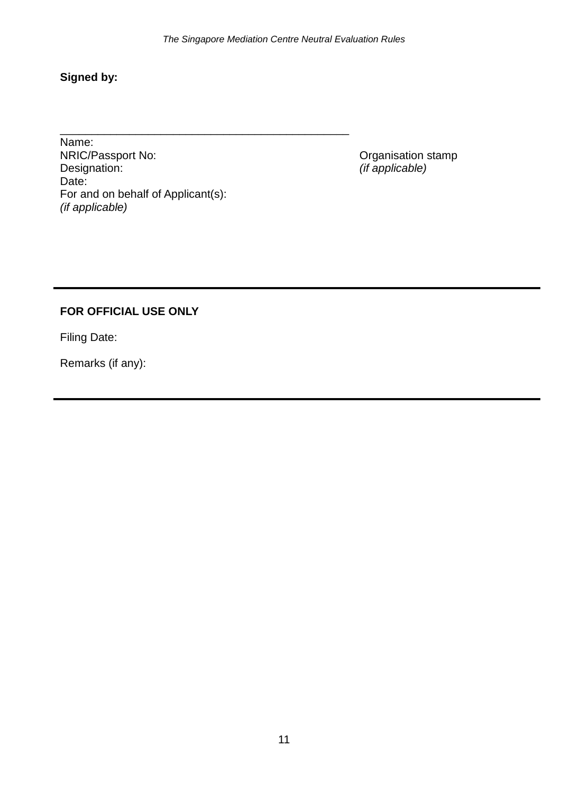**Signed by:**

Name:<br>NRIC/Passport No: NRIC/Passport No: Case of the Contract of Contract Contract Organisation stamp<br>
Organisation stamp<br>
(*if applicable*) Date: For and on behalf of Applicant(s): *(if applicable)*

\_\_\_\_\_\_\_\_\_\_\_\_\_\_\_\_\_\_\_\_\_\_\_\_\_\_\_\_\_\_\_\_\_\_\_\_\_\_\_\_\_\_\_\_\_\_

*(if applicable)* 

# **FOR OFFICIAL USE ONLY**

Filing Date:

Remarks (if any):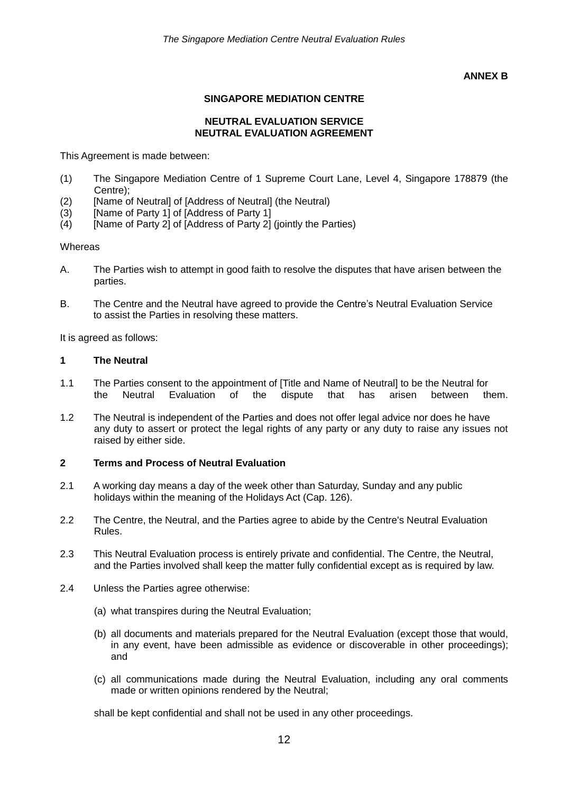#### **ANNEX B**

#### **SINGAPORE MEDIATION CENTRE**

### **NEUTRAL EVALUATION SERVICE NEUTRAL EVALUATION AGREEMENT**

This Agreement is made between:

- (1) The Singapore Mediation Centre of 1 Supreme Court Lane, Level 4, Singapore 178879 (the Centre);
- (2) [Name of Neutral] of [Address of Neutral] (the Neutral)
- (3) [Name of Party 1] of [Address of Party 1]
- (4) [Name of Party 2] of [Address of Party 2] (jointly the Parties)

#### **Whereas**

- A. The Parties wish to attempt in good faith to resolve the disputes that have arisen between the parties.
- B. The Centre and the Neutral have agreed to provide the Centre's Neutral Evaluation Service to assist the Parties in resolving these matters.

It is agreed as follows:

#### **1 The Neutral**

- 1.1 The Parties consent to the appointment of [Title and Name of Neutral] to be the Neutral for the Neutral Evaluation of the dispute that has arisen between them.
- 1.2 The Neutral is independent of the Parties and does not offer legal advice nor does he have any duty to assert or protect the legal rights of any party or any duty to raise any issues not raised by either side.

#### **2 Terms and Process of Neutral Evaluation**

- 2.1 A working day means a day of the week other than Saturday, Sunday and any public holidays within the meaning of the Holidays Act (Cap. 126).
- 2.2 The Centre, the Neutral, and the Parties agree to abide by the Centre's Neutral Evaluation Rules.
- 2.3 This Neutral Evaluation process is entirely private and confidential. The Centre, the Neutral, and the Parties involved shall keep the matter fully confidential except as is required by law.
- 2.4 Unless the Parties agree otherwise:
	- (a) what transpires during the Neutral Evaluation;
	- (b) all documents and materials prepared for the Neutral Evaluation (except those that would, in any event, have been admissible as evidence or discoverable in other proceedings); and
	- (c) all communications made during the Neutral Evaluation, including any oral comments made or written opinions rendered by the Neutral;

shall be kept confidential and shall not be used in any other proceedings.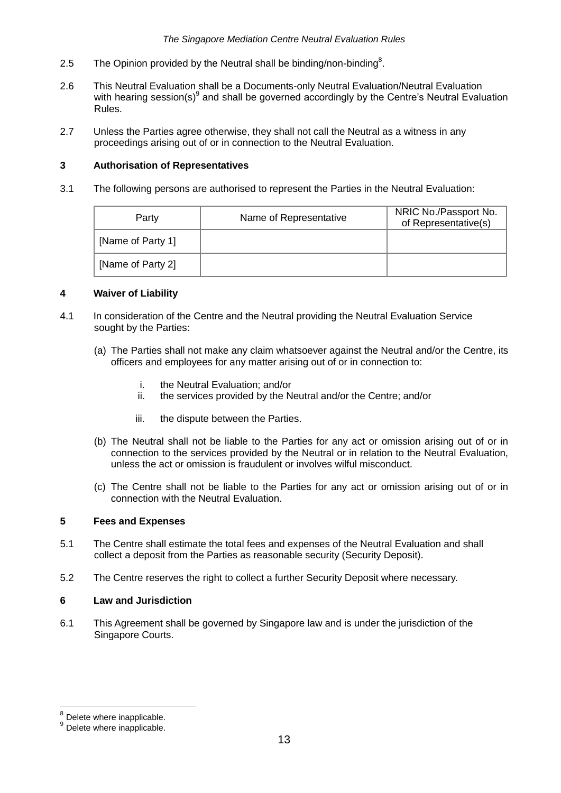- 2.5 The Opinion provided by the Neutral shall be binding/non-binding<sup>8</sup>.
- 2.6 This Neutral Evaluation shall be a Documents-only Neutral Evaluation/Neutral Evaluation with hearing session(s) $9$  and shall be governed accordingly by the Centre's Neutral Evaluation Rules.
- 2.7 Unless the Parties agree otherwise, they shall not call the Neutral as a witness in any proceedings arising out of or in connection to the Neutral Evaluation.

#### **3 Authorisation of Representatives**

3.1 The following persons are authorised to represent the Parties in the Neutral Evaluation:

| Party             | Name of Representative | NRIC No./Passport No.<br>of Representative(s) |
|-------------------|------------------------|-----------------------------------------------|
| [Name of Party 1] |                        |                                               |
| [Name of Party 2] |                        |                                               |

#### **4 Waiver of Liability**

- 4.1 In consideration of the Centre and the Neutral providing the Neutral Evaluation Service sought by the Parties:
	- (a) The Parties shall not make any claim whatsoever against the Neutral and/or the Centre, its officers and employees for any matter arising out of or in connection to:
		- i. the Neutral Evaluation; and/or
		- ii. the services provided by the Neutral and/or the Centre; and/or
		- iii. the dispute between the Parties.
	- (b) The Neutral shall not be liable to the Parties for any act or omission arising out of or in connection to the services provided by the Neutral or in relation to the Neutral Evaluation, unless the act or omission is fraudulent or involves wilful misconduct.
	- (c) The Centre shall not be liable to the Parties for any act or omission arising out of or in connection with the Neutral Evaluation.

#### **5 Fees and Expenses**

- 5.1 The Centre shall estimate the total fees and expenses of the Neutral Evaluation and shall collect a deposit from the Parties as reasonable security (Security Deposit).
- 5.2 The Centre reserves the right to collect a further Security Deposit where necessary.

#### **6 Law and Jurisdiction**

6.1 This Agreement shall be governed by Singapore law and is under the jurisdiction of the Singapore Courts.

 $\frac{1}{8}$ Delete where inapplicable.

<sup>&</sup>lt;sup>9</sup> Delete where inapplicable.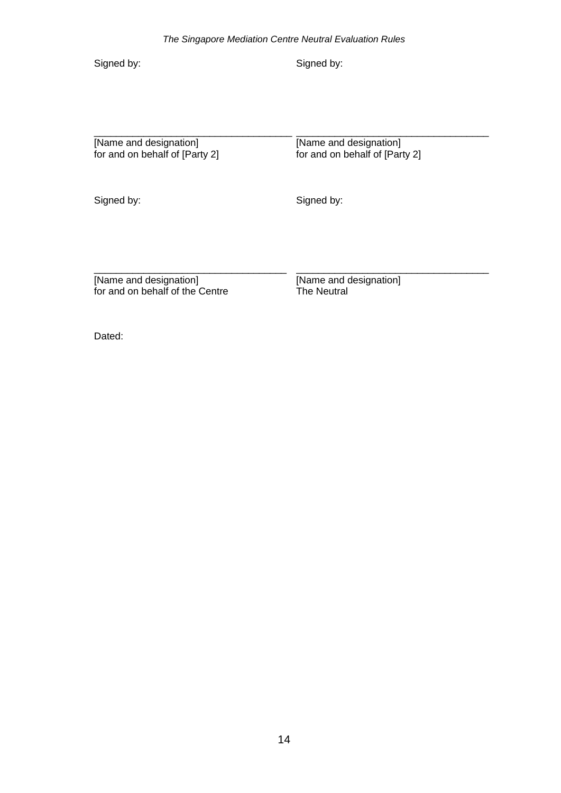Signed by:

Signed by:

[Name and designation] for and on behalf of [Party 2]

\_\_\_\_\_\_\_\_\_\_\_\_\_\_\_\_\_\_\_\_\_\_\_\_\_\_\_\_\_\_\_\_\_\_\_\_

\_\_\_\_\_\_\_\_\_\_\_\_\_\_\_\_\_\_\_\_\_\_\_\_\_\_\_\_\_\_\_\_\_\_\_

[Name and designation] for and on behalf of [Party 2]

\_\_\_\_\_\_\_\_\_\_\_\_\_\_\_\_\_\_\_\_\_\_\_\_\_\_\_\_\_\_\_\_\_\_\_

\_\_\_\_\_\_\_\_\_\_\_\_\_\_\_\_\_\_\_\_\_\_\_\_\_\_\_\_\_\_\_\_\_\_\_

Signed by:

Signed by:

[Name and designation] for and on behalf of the Centre [Name and designation] The Neutral

Dated: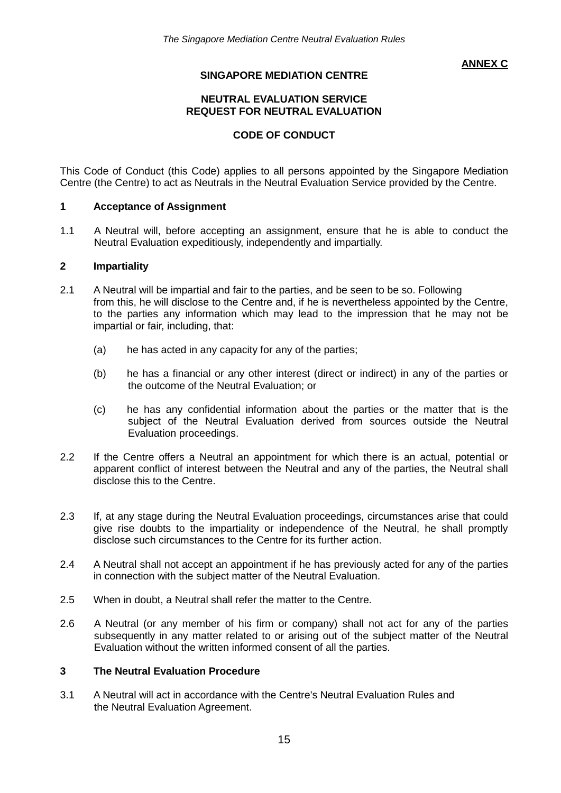**ANNEX C**

## **SINGAPORE MEDIATION CENTRE**

### **NEUTRAL EVALUATION SERVICE REQUEST FOR NEUTRAL EVALUATION**

### **CODE OF CONDUCT**

This Code of Conduct (this Code) applies to all persons appointed by the Singapore Mediation Centre (the Centre) to act as Neutrals in the Neutral Evaluation Service provided by the Centre.

#### **1 Acceptance of Assignment**

1.1 A Neutral will, before accepting an assignment, ensure that he is able to conduct the Neutral Evaluation expeditiously, independently and impartially.

#### **2 Impartiality**

- 2.1 A Neutral will be impartial and fair to the parties, and be seen to be so. Following from this, he will disclose to the Centre and, if he is nevertheless appointed by the Centre, to the parties any information which may lead to the impression that he may not be impartial or fair, including, that:
	- (a) he has acted in any capacity for any of the parties;
	- (b) he has a financial or any other interest (direct or indirect) in any of the parties or the outcome of the Neutral Evaluation; or
	- (c) he has any confidential information about the parties or the matter that is the subject of the Neutral Evaluation derived from sources outside the Neutral Evaluation proceedings.
- 2.2 If the Centre offers a Neutral an appointment for which there is an actual, potential or apparent conflict of interest between the Neutral and any of the parties, the Neutral shall disclose this to the Centre.
- 2.3 If, at any stage during the Neutral Evaluation proceedings, circumstances arise that could give rise doubts to the impartiality or independence of the Neutral, he shall promptly disclose such circumstances to the Centre for its further action.
- 2.4 A Neutral shall not accept an appointment if he has previously acted for any of the parties in connection with the subject matter of the Neutral Evaluation.
- 2.5 When in doubt, a Neutral shall refer the matter to the Centre.
- 2.6 A Neutral (or any member of his firm or company) shall not act for any of the parties subsequently in any matter related to or arising out of the subject matter of the Neutral Evaluation without the written informed consent of all the parties.

### **3 The Neutral Evaluation Procedure**

3.1 A Neutral will act in accordance with the Centre's Neutral Evaluation Rules and the Neutral Evaluation Agreement.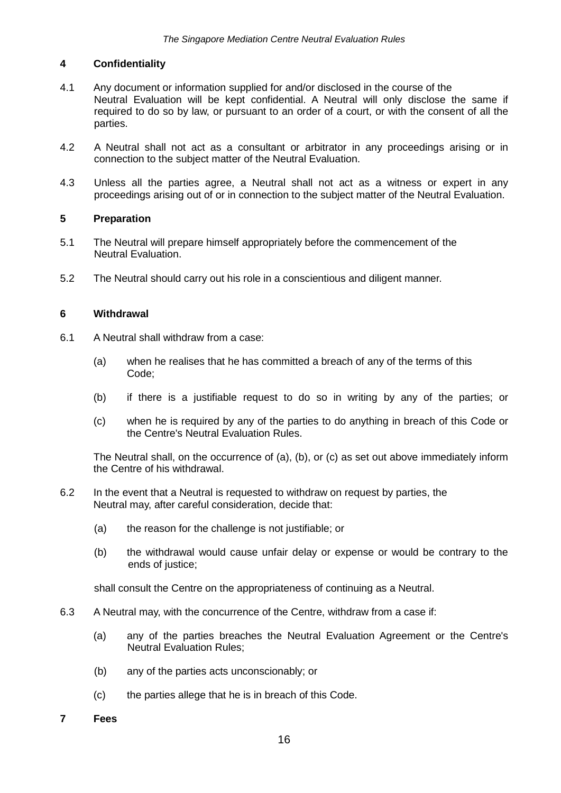## **4 Confidentiality**

- 4.1 Any document or information supplied for and/or disclosed in the course of the Neutral Evaluation will be kept confidential. A Neutral will only disclose the same if required to do so by law, or pursuant to an order of a court, or with the consent of all the parties.
- 4.2 A Neutral shall not act as a consultant or arbitrator in any proceedings arising or in connection to the subject matter of the Neutral Evaluation.
- 4.3 Unless all the parties agree, a Neutral shall not act as a witness or expert in any proceedings arising out of or in connection to the subject matter of the Neutral Evaluation.

#### **5 Preparation**

- 5.1 The Neutral will prepare himself appropriately before the commencement of the Neutral Evaluation.
- 5.2 The Neutral should carry out his role in a conscientious and diligent manner.

### **6 Withdrawal**

- 6.1 A Neutral shall withdraw from a case:
	- (a) when he realises that he has committed a breach of any of the terms of this Code;
	- (b) if there is a justifiable request to do so in writing by any of the parties; or
	- (c) when he is required by any of the parties to do anything in breach of this Code or the Centre's Neutral Evaluation Rules.

The Neutral shall, on the occurrence of (a), (b), or (c) as set out above immediately inform the Centre of his withdrawal.

- 6.2 In the event that a Neutral is requested to withdraw on request by parties, the Neutral may, after careful consideration, decide that:
	- (a) the reason for the challenge is not justifiable; or
	- (b) the withdrawal would cause unfair delay or expense or would be contrary to the ends of justice;

shall consult the Centre on the appropriateness of continuing as a Neutral.

- 6.3 A Neutral may, with the concurrence of the Centre, withdraw from a case if:
	- (a) any of the parties breaches the Neutral Evaluation Agreement or the Centre's Neutral Evaluation Rules;
	- (b) any of the parties acts unconscionably; or
	- (c) the parties allege that he is in breach of this Code.
- **7 Fees**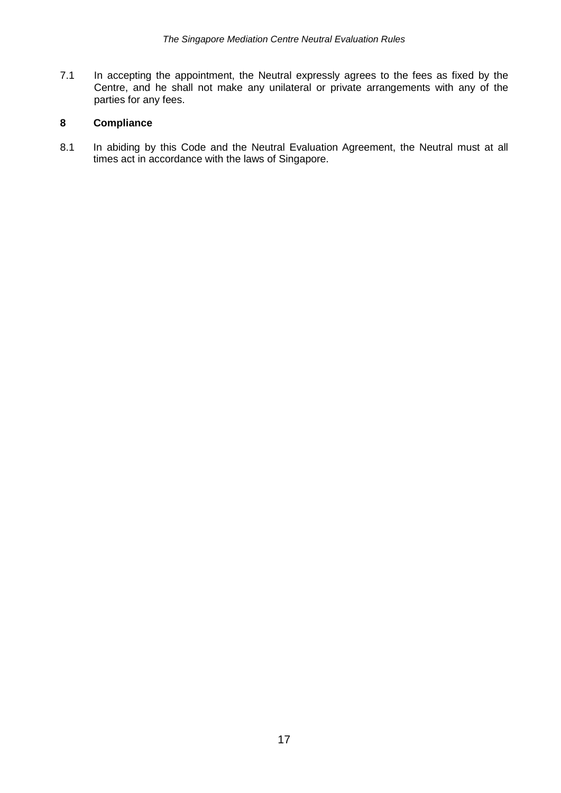7.1 In accepting the appointment, the Neutral expressly agrees to the fees as fixed by the Centre, and he shall not make any unilateral or private arrangements with any of the parties for any fees.

## **8 Compliance**

8.1 In abiding by this Code and the Neutral Evaluation Agreement, the Neutral must at all times act in accordance with the laws of Singapore.